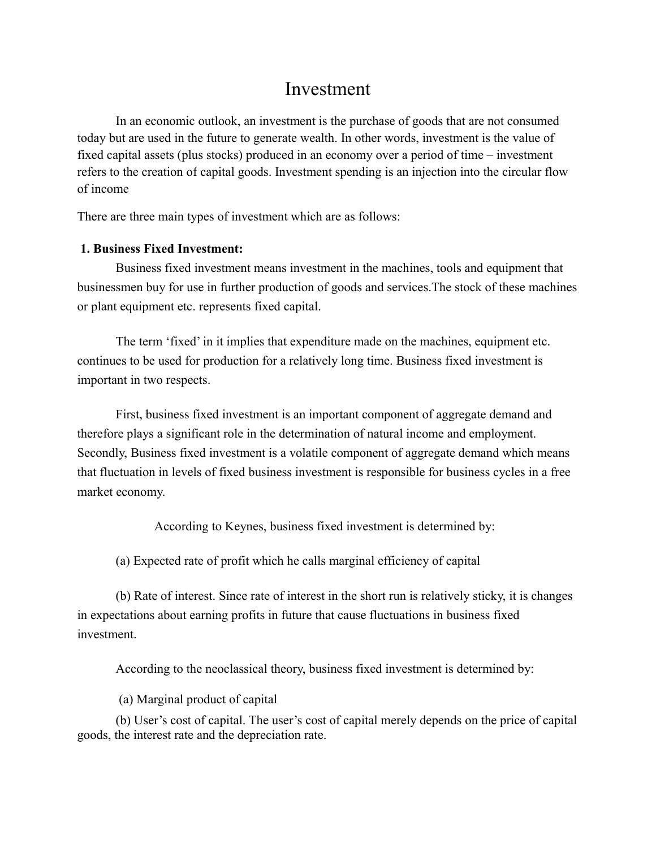## Investment

In an economic outlook, an investment is the purchase of goods that are not consumed today but are used in the future to generate wealth. In other words, investment is the value of fixed capital assets (plus stocks) produced in an economy over a period of time – investment refers to the creation of capital goods. Investment spending is an injection into the circular flow of income

There are three main types of investment which are as follows:

## **1. Business Fixed Investment:**

Business fixed investment means investment in the machines, tools and equipment that businessmen buy for use in further production of goods and services.The stock of these machines or plant equipment etc. represents fixed capital.

The term 'fixed' in it implies that expenditure made on the machines, equipment etc. continues to be used for production for a relatively long time. Business fixed investment is important in two respects.

First, business fixed investment is an important component of aggregate demand and therefore plays a significant role in the determination of natural income and employment. Secondly, Business fixed investment is a volatile component of aggregate demand which means that fluctuation in levels of fixed business investment is responsible for business cycles in a free market economy.

According to Keynes, business fixed investment is determined by:

(a) Expected rate of profit which he calls marginal efficiency of capital

(b) Rate of interest. Since rate of interest in the short run is relatively sticky, it is changes in expectations about earning profits in future that cause fluctuations in business fixed investment.

According to the neoclassical theory, business fixed investment is determined by:

(a) Marginal product of capital

(b) User's cost of capital. The user's cost of capital merely depends on the price of capital goods, the interest rate and the depreciation rate.